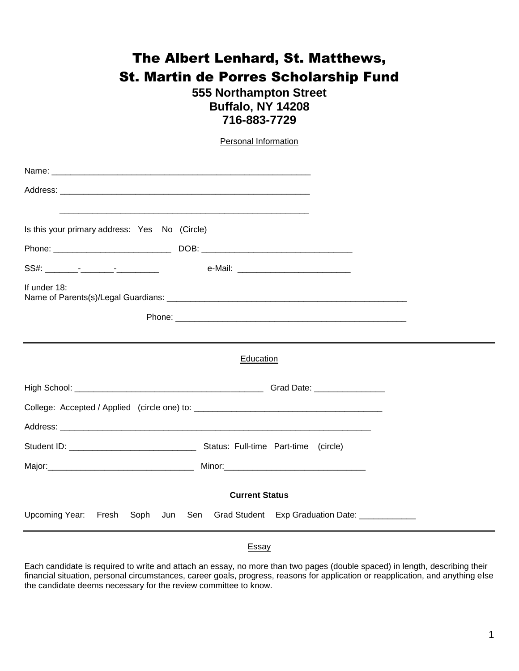## The Albert Lenhard, St. Matthews, St. Martin de Porres Scholarship Fund

## **555 Northampton Street Buffalo, NY 14208 716-883-7729**

|                                                                                                                       | <b>Personal Information</b>                                                      |  |  |
|-----------------------------------------------------------------------------------------------------------------------|----------------------------------------------------------------------------------|--|--|
|                                                                                                                       |                                                                                  |  |  |
|                                                                                                                       |                                                                                  |  |  |
|                                                                                                                       |                                                                                  |  |  |
| Is this your primary address: Yes No (Circle)                                                                         |                                                                                  |  |  |
|                                                                                                                       |                                                                                  |  |  |
|                                                                                                                       |                                                                                  |  |  |
| If under 18:                                                                                                          |                                                                                  |  |  |
|                                                                                                                       |                                                                                  |  |  |
| <u> 1989 - Johann Stoff, deutscher Stoffen und der Stoffen und der Stoffen und der Stoffen und der Stoffen und de</u> |                                                                                  |  |  |
| Education                                                                                                             |                                                                                  |  |  |
|                                                                                                                       |                                                                                  |  |  |
|                                                                                                                       |                                                                                  |  |  |
|                                                                                                                       |                                                                                  |  |  |
|                                                                                                                       |                                                                                  |  |  |
|                                                                                                                       |                                                                                  |  |  |
| <b>Current Status</b>                                                                                                 |                                                                                  |  |  |
|                                                                                                                       | Upcoming Year: Fresh Soph Jun Sen Grad Student Exp Graduation Date: ____________ |  |  |

## **Essay**

Each candidate is required to write and attach an essay, no more than two pages (double spaced) in length, describing their financial situation, personal circumstances, career goals, progress, reasons for application or reapplication, and anything else the candidate deems necessary for the review committee to know.